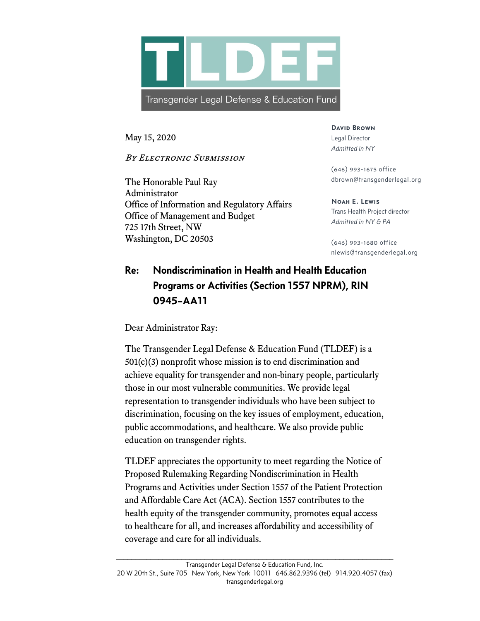

May 15, 2020

By ELECTRONIC SUBMISSION

The Honorable Paul Ray Administrator Office of Information and Regulatory Affairs Office of Management and Budget 725 17th Street, NW Washington, DC 20503

**David Brown** Legal Director *Admitted in NY*

(646) 993-1675 office dbrown@transgenderlegal.org

**Noah E. Lewis** Trans Health Project director *Admitted in NY & PA*

(646) 993-1680 office nlewis@transgenderlegal.org

## Re: Nondiscrimination in Health and Health Education Programs or Activities (Section 1557 NPRM), RIN 0945–AA11

Dear Administrator Ray:

The Transgender Legal Defense & Education Fund (TLDEF) is a 501(c)(3) nonprofit whose mission is to end discrimination and achieve equality for transgender and non-binary people, particularly those in our most vulnerable communities. We provide legal representation to transgender individuals who have been subject to discrimination, focusing on the key issues of employment, education, public accommodations, and healthcare. We also provide public education on transgender rights.

TLDEF appreciates the opportunity to meet regarding the Notice of Proposed Rulemaking Regarding Nondiscrimination in Health Programs and Activities under Section 1557 of the Patient Protection and Affordable Care Act (ACA). Section 1557 contributes to the health equity of the transgender community, promotes equal access to healthcare for all, and increases affordability and accessibility of coverage and care for all individuals.

 $\_$  , and the set of the set of the set of the set of the set of the set of the set of the set of the set of the set of the set of the set of the set of the set of the set of the set of the set of the set of the set of th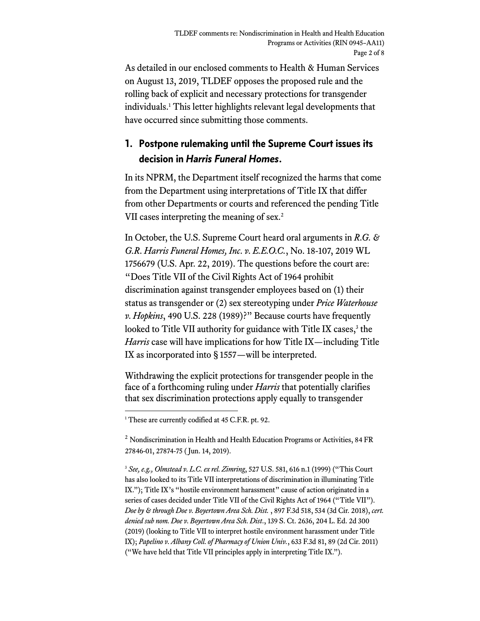As detailed in our enclosed comments to Health & Human Services on August 13, 2019, TLDEF opposes the proposed rule and the rolling back of explicit and necessary protections for transgender individuals.1 This letter highlights relevant legal developments that have occurred since submitting those comments.

## 1. Postpone rulemaking until the Supreme Court issues its decision in *Harris Funeral Homes*.

In its NPRM, the Department itself recognized the harms that come from the Department using interpretations of Title IX that differ from other Departments or courts and referenced the pending Title VII cases interpreting the meaning of sex.<sup>2</sup>

In October, the U.S. Supreme Court heard oral arguments in *R.G. & G.R. Harris Funeral Homes, Inc. v. E.E.O.C.*, No. 18-107, 2019 WL 1756679 (U.S. Apr. 22, 2019). The questions before the court are: "Does Title VII of the Civil Rights Act of 1964 prohibit discrimination against transgender employees based on (1) their status as transgender or (2) sex stereotyping under *Price Waterhouse v. Hopkins*, 490 U.S. 228 (1989)?" Because courts have frequently looked to Title VII authority for guidance with Title IX cases,<sup>3</sup> the *Harris* case will have implications for how Title IX—including Title IX as incorporated into § 1557—will be interpreted.

Withdrawing the explicit protections for transgender people in the face of a forthcoming ruling under *Harris* that potentially clarifies that sex discrimination protections apply equally to transgender

 $<sup>2</sup>$  Nondiscrimination in Health and Health Education Programs or Activities, 84 FR</sup> 27846-01, 27874-75 ( Jun. 14, 2019).

<sup>3</sup> *See, e.g., Olmstead v. L.C. ex rel. Zimring*, 527 U.S. 581, 616 n.1 (1999) ("This Court has also looked to its Title VII interpretations of discrimination in illuminating Title IX."); Title IX's "hostile environment harassment" cause of action originated in a series of cases decided under Title VII of the Civil Rights Act of 1964 ("Title VII"). *Doe by & through Doe v. Boyertown Area Sch. Dist.* , 897 F.3d 518, 534 (3d Cir. 2018), *cert. denied sub nom. Doe v. Boyertown Area Sch. Dist*., 139 S. Ct. 2636, 204 L. Ed. 2d 300 (2019) (looking to Title VII to interpret hostile environment harassment under Title IX); *Papelino v. Albany Coll. of Pharmacy of Union Univ.*, 633 F.3d 81, 89 (2d Cir. 2011) ("We have held that Title VII principles apply in interpreting Title IX.").

<sup>&</sup>lt;sup>1</sup> These are currently codified at 45 C.F.R. pt. 92.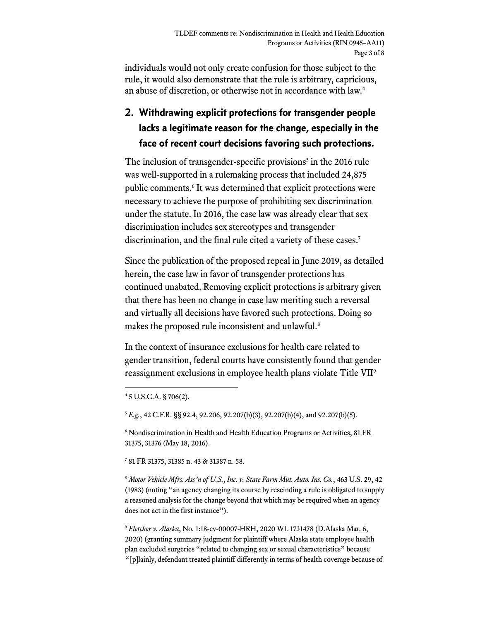individuals would not only create confusion for those subject to the rule, it would also demonstrate that the rule is arbitrary, capricious, an abuse of discretion, or otherwise not in accordance with law. 4

## 2. Withdrawing explicit protections for transgender people lacks a legitimate reason for the change, especially in the face of recent court decisions favoring such protections.

The inclusion of transgender-specific provisions<sup>5</sup> in the 2016 rule was well-supported in a rulemaking process that included 24,875 public comments.<sup>6</sup> It was determined that explicit protections were necessary to achieve the purpose of prohibiting sex discrimination under the statute. In 2016, the case law was already clear that sex discrimination includes sex stereotypes and transgender discrimination, and the final rule cited a variety of these cases.<sup>7</sup>

Since the publication of the proposed repeal in June 2019, as detailed herein, the case law in favor of transgender protections has continued unabated. Removing explicit protections is arbitrary given that there has been no change in case law meriting such a reversal and virtually all decisions have favored such protections. Doing so makes the proposed rule inconsistent and unlawful.<sup>8</sup>

In the context of insurance exclusions for health care related to gender transition, federal courts have consistently found that gender reassignment exclusions in employee health plans violate Title VII9

<sup>5</sup> *E.g.*, 42 C.F.R. §§ 92.4, 92.206, 92.207(b)(3), 92.207(b)(4), and 92.207(b)(5).

<sup>6</sup> Nondiscrimination in Health and Health Education Programs or Activities, 81 FR 31375, 31376 (May 18, 2016).

<sup>7</sup> 81 FR 31375, 31385 n. 43 & 31387 n. 58.

<sup>8</sup> *Motor Vehicle Mfrs. Ass'n of U.S., Inc. v. State Farm Mut. Auto. Ins. Co.*, 463 U.S. 29, 42 (1983) (noting "an agency changing its course by rescinding a rule is obligated to supply a reasoned analysis for the change beyond that which may be required when an agency does not act in the first instance").

<sup>9</sup> *Fletcher v. Alaska*, No. 1:18-cv-00007-HRH, 2020 WL 1731478 (D.Alaska Mar. 6, 2020) (granting summary judgment for plaintiff where Alaska state employee health plan excluded surgeries "related to changing sex or sexual characteristics" because "[p]lainly, defendant treated plaintiff differently in terms of health coverage because of

<sup>4</sup> 5 U.S.C.A. § 706(2).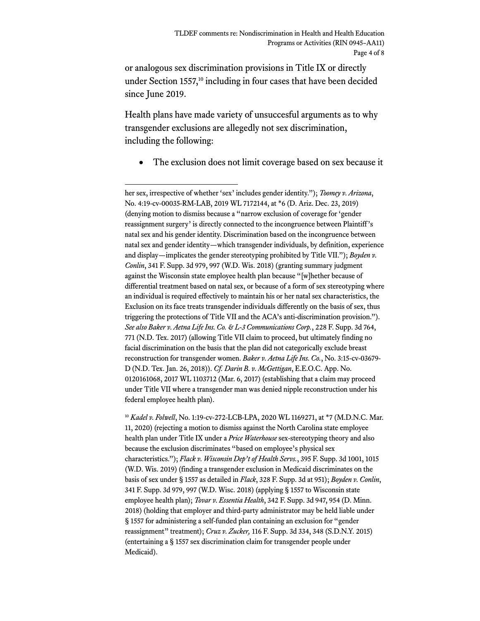or analogous sex discrimination provisions in Title IX or directly under Section 1557, <sup>10</sup> including in four cases that have been decided since June 2019.

Health plans have made variety of unsuccesful arguments as to why transgender exclusions are allegedly not sex discrimination, including the following:

The exclusion does not limit coverage based on sex because it

<sup>10</sup> *Kadel v. Folwell*, No. 1:19-cv-272-LCB-LPA, 2020 WL 1169271, at \*7 (M.D.N.C. Mar. 11, 2020) (rejecting a motion to dismiss against the North Carolina state employee health plan under Title IX under a *Price Waterhouse* sex-stereotyping theory and also because the exclusion discriminates "based on employee's physical sex characteristics."); *Flack v. Wisconsin Dep't of Health Servs.*, 395 F. Supp. 3d 1001, 1015 (W.D. Wis. 2019) (finding a transgender exclusion in Medicaid discriminates on the basis of sex under § 1557 as detailed in *Flack*, 328 F. Supp. 3d at 951); *Boyden v. Conlin*, 341 F. Supp. 3d 979, 997 (W.D. Wisc. 2018) (applying § 1557 to Wisconsin state employee health plan); *Tovar v. Essentia Health*, 342 F. Supp. 3d 947, 954 (D. Minn. 2018) (holding that employer and third-party administrator may be held liable under § 1557 for administering a self-funded plan containing an exclusion for "gender reassignment" treatment); *Cruz v. Zucker,* 116 F. Supp. 3d 334, 348 (S.D.N.Y. 2015) (entertaining a § 1557 sex discrimination claim for transgender people under Medicaid).

her sex, irrespective of whether 'sex'includes gender identity."); *Toomey v. Arizona*, No. 4:19-cv-00035-RM-LAB, 2019 WL 7172144, at \*6 (D. Ariz. Dec. 23, 2019) (denying motion to dismiss because a "narrow exclusion of coverage for 'gender reassignment surgery' is directly connected to the incongruence between Plaintiff's natal sex and his gender identity. Discrimination based on the incongruence between natal sex and gender identity—which transgender individuals, by definition, experience and display—implicates the gender stereotyping prohibited by Title VII."); *Boyden v. Conlin*, 341 F. Supp. 3d 979, 997 (W.D. Wis. 2018) (granting summary judgment against the Wisconsin state employee health plan because "[w]hether because of differential treatment based on natal sex, or because of a form of sex stereotyping where an individual is required effectively to maintain his or her natal sex characteristics, the Exclusion on its face treats transgender individuals differently on the basis of sex, thus triggering the protections of Title VII and the ACA's anti-discrimination provision."). *See also Baker v. Aetna Life Ins. Co. & L-3 Communications Corp.*, 228 F. Supp. 3d 764, 771 (N.D. Tex. 2017) (allowing Title VII claim to proceed, but ultimately finding no facial discrimination on the basis that the plan did not categorically exclude breast reconstruction for transgender women. *Baker v. Aetna Life Ins. Co.*, No. 3:15-cv-03679- D (N.D. Tex. Jan. 26, 2018)). *Cf. Darin B. v. McGettigan*, E.E.O.C. App. No. 0120161068, 2017 WL 1103712 (Mar. 6, 2017) (establishing that a claim may proceed under Title VII where a transgender man was denied nipple reconstruction under his federal employee health plan).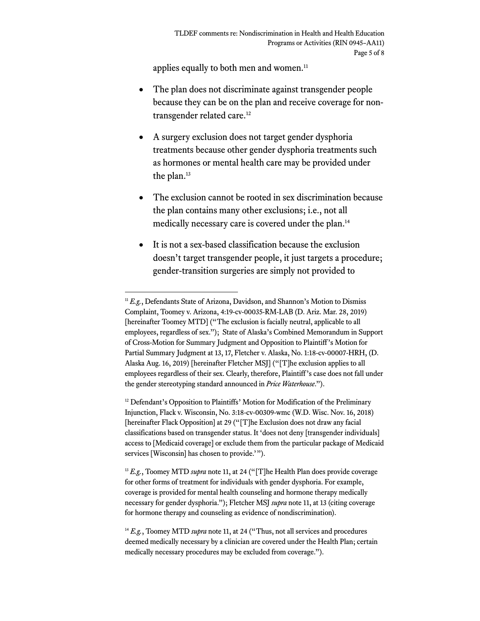applies equally to both men and women.<sup>11</sup>

- The plan does not discriminate against transgender people because they can be on the plan and receive coverage for nontransgender related care.12
- A surgery exclusion does not target gender dysphoria treatments because other gender dysphoria treatments such as hormones or mental health care may be provided under the plan.<sup>13</sup>
- The exclusion cannot be rooted in sex discrimination because the plan contains many other exclusions; i.e., not all medically necessary care is covered under the plan.14
- It is not a sex-based classification because the exclusion doesn't target transgender people, it just targets a procedure; gender-transition surgeries are simply not provided to

<sup>&</sup>lt;sup>11</sup> *E.g.*, Defendants State of Arizona, Davidson, and Shannon's Motion to Dismiss Complaint, Toomey v. Arizona, 4:19-cv-00035-RM-LAB (D. Ariz. Mar. 28, 2019) [hereinafter Toomey MTD] ("The exclusion is facially neutral, applicable to all employees, regardless of sex."); State of Alaska's Combined Memorandum in Support of Cross-Motion for Summary Judgment and Opposition to Plaintiff's Motion for Partial Summary Judgment at 13, 17, Fletcher v. Alaska, No. 1:18-cv-00007-HRH, (D. Alaska Aug. 16, 2019) [hereinafter Fletcher MSJ] ("[T]he exclusion applies to all employees regardless of their sex. Clearly, therefore, Plaintiff's case does not fall under the gender stereotyping standard announced in *Price Waterhouse*.").

<sup>&</sup>lt;sup>12</sup> Defendant's Opposition to Plaintiffs' Motion for Modification of the Preliminary Injunction, Flack v. Wisconsin, No. 3:18-cv-00309-wmc (W.D. Wisc. Nov. 16, 2018) [hereinafter Flack Opposition] at 29 ("[T]he Exclusion does not draw any facial classifications based on transgender status. It 'does not deny [transgender individuals] access to [Medicaid coverage] or exclude them from the particular package of Medicaid services [Wisconsin] has chosen to provide.'").

<sup>&</sup>lt;sup>13</sup> *E.g.*, Toomey MTD *supra* note 11, at 24 ("[T]he Health Plan does provide coverage for other forms of treatment for individuals with gender dysphoria. For example, coverage is provided for mental health counseling and hormone therapy medically necessary for gender dysphoria."); Fletcher MSJ *supra* note 11, at 13 (citing coverage for hormone therapy and counseling as evidence of nondiscrimination).

<sup>&</sup>lt;sup>14</sup> *E.g.*, Toomey MTD *supra* note 11, at 24 ("Thus, not all services and procedures deemed medically necessary by a clinician are covered under the Health Plan; certain medically necessary procedures may be excluded from coverage.").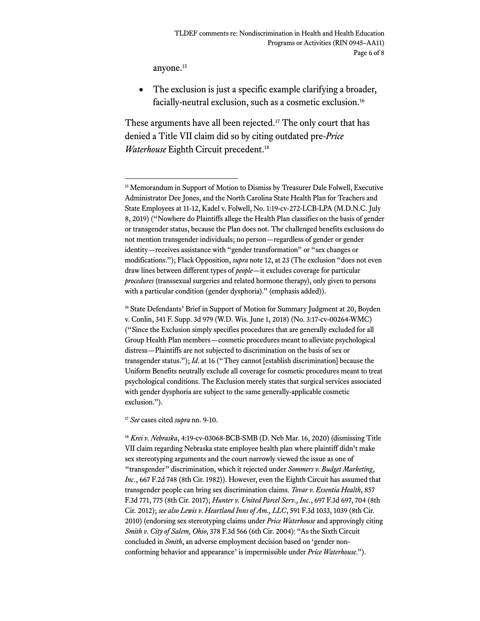anyone.<sup>15</sup>

• The exclusion is just a specific example clarifying a broader, facially-neutral exclusion, such as a cosmetic exclusion.16

These arguments have all been rejected.<sup>17</sup> The only court that has denied a Title VII claim did so by citing outdated pre-*Price Waterhouse* Eighth Circuit precedent.18

<sup>17</sup> *See* cases cited *supra* nn. 9-10.

<sup>18</sup> *Krei v. Nebraska*, 4:19-cv-03068-BCB-SMB (D. Neb Mar. 16, 2020) (dismissing Title VII claim regarding Nebraska state employee health plan where plaintiff didn't make sex stereotyping arguments and the court narrowly viewed the issue as one of "transgender" discrimination, which it rejected under *Sommers v. Budget Marketing, Inc.*, 667 F.2d 748 (8th Cir. 1982)). However, even the Eighth Circuit has assumed that transgender people can bring sex discrimination claims. *Tovar v. Essentia Health*, 857 F.3d 771, 775 (8th Cir. 2017); *Hunter v. United Parcel Serv., Inc.*, 697 F.3d 697, 704 (8th Cir. 2012); *see also Lewis v. Heartland Inns of Am., LLC*, 591 F.3d 1033, 1039 (8th Cir. 2010) (endorsing sex stereotyping claims under *Price Waterhouse* and approvingly citing *Smith v. City of Salem, Ohio*, 378 F.3d 566 (6th Cir. 2004): "As the Sixth Circuit concluded in *Smith*, an adverse employment decision based on 'gender nonconforming behavior and appearance'is impermissible under *Price Waterhouse*.").

<sup>&</sup>lt;sup>15</sup> Memorandum in Support of Motion to Dismiss by Treasurer Dale Folwell, Executive Administrator Dee Jones, and the North Carolina State Health Plan for Teachers and State Employees at 11-12, Kadel v. Folwell, No. 1:19-cv-272-LCB-LPA (M.D.N.C. July 8, 2019) ("Nowhere do Plaintiffs allege the Health Plan classifies on the basis of gender or transgender status, because the Plan does not. The challenged benefits exclusions do not mention transgender individuals; no person—regardless of gender or gender identity—receives assistance with "gender transformation" or "sex changes or modifications."); Flack Opposition, *supra* note 12, at 23 (The exclusion "does not even draw lines between different types of *people*—it excludes coverage for particular *procedures* (transsexual surgeries and related hormone therapy), only given to persons with a particular condition (gender dysphoria)." (emphasis added)).

<sup>&</sup>lt;sup>16</sup> State Defendants' Brief in Support of Motion for Summary Judgment at 20, Boyden v. Conlin, 341 F. Supp. 3d 979 (W.D. Wis. June 1, 2018) (No. 3:17-cv-00264-WMC) ("Since the Exclusion simply specifies procedures that are generally excluded for all Group Health Plan members—cosmetic procedures meant to alleviate psychological distress—Plaintiffs are not subjected to discrimination on the basis of sex or transgender status."); *Id*. at 16 ("They cannot [establish discrimination] because the Uniform Benefits neutrally exclude all coverage for cosmetic procedures meant to treat psychological conditions. The Exclusion merely states that surgical services associated with gender dysphoria are subject to the same generally-applicable cosmetic exclusion.").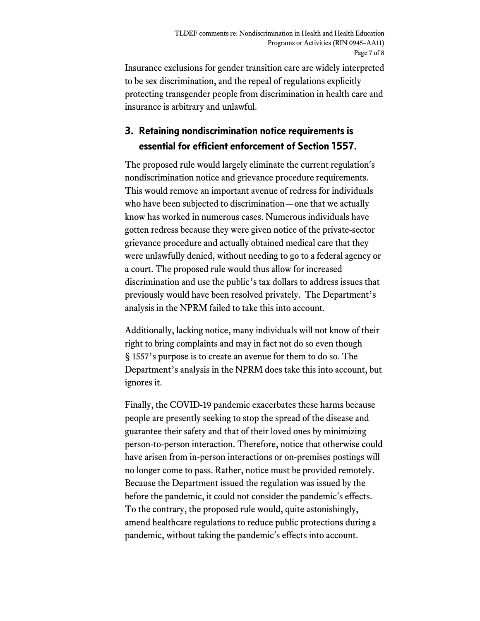Insurance exclusions for gender transition care are widely interpreted to be sex discrimination, and the repeal of regulations explicitly protecting transgender people from discrimination in health care and insurance is arbitrary and unlawful.

## 3. Retaining nondiscrimination notice requirements is essential for efficient enforcement of Section 1557.

The proposed rule would largely eliminate the current regulation's nondiscrimination notice and grievance procedure requirements. This would remove an important avenue of redress for individuals who have been subjected to discrimination—one that we actually know has worked in numerous cases. Numerous individuals have gotten redress because they were given notice of the private-sector grievance procedure and actually obtained medical care that they were unlawfully denied, without needing to go to a federal agency or a court. The proposed rule would thus allow for increased discrimination and use the public's tax dollars to address issues that previously would have been resolved privately. The Department's analysis in the NPRM failed to take this into account.

Additionally, lacking notice, many individuals will not know of their right to bring complaints and may in fact not do so even though § 1557's purpose is to create an avenue for them to do so. The Department's analysis in the NPRM does take this into account, but ignores it.

Finally, the COVID-19 pandemic exacerbates these harms because people are presently seeking to stop the spread of the disease and guarantee their safety and that of their loved ones by minimizing person-to-person interaction. Therefore, notice that otherwise could have arisen from in-person interactions or on-premises postings will no longer come to pass. Rather, notice must be provided remotely. Because the Department issued the regulation was issued by the before the pandemic, it could not consider the pandemic's effects. To the contrary, the proposed rule would, quite astonishingly, amend healthcare regulations to reduce public protections during a pandemic, without taking the pandemic's effects into account.